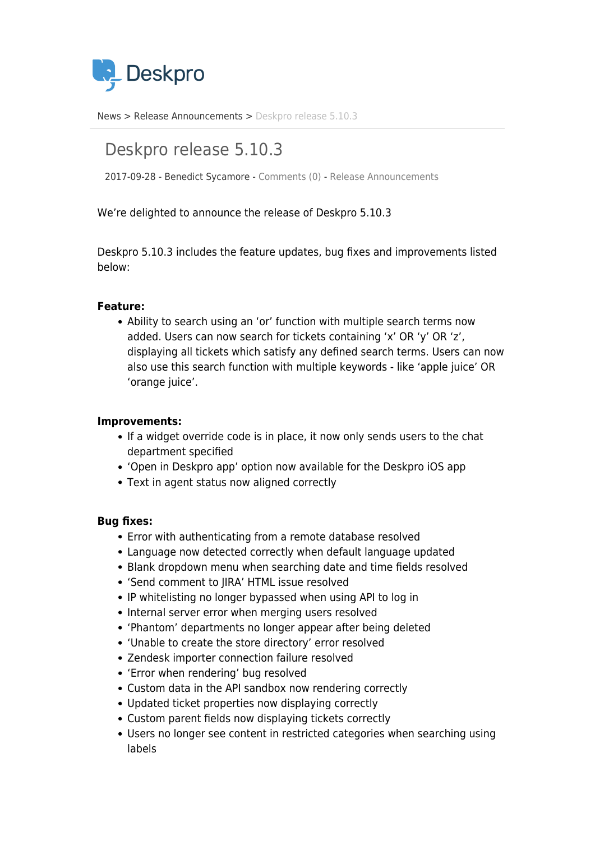

[News](https://support.deskpro.com/ro/news) > [Release Announcements](https://support.deskpro.com/ro/news/release-announcements) > [Deskpro release 5.10.3](https://support.deskpro.com/ro/news/posts/deskpro-release-5-10-3)

# Deskpro release 5.10.3

2017-09-28 - Benedict Sycamore - [Comments \(0\)](#page--1-0) - [Release Announcements](https://support.deskpro.com/ro/news/release-announcements)

We're delighted to announce the release of Deskpro 5.10.3

Deskpro 5.10.3 includes the feature updates, bug fixes and improvements listed below:

# **Feature:**

Ability to search using an 'or' function with multiple search terms now added. Users can now search for tickets containing 'x' OR 'y' OR 'z', displaying all tickets which satisfy any defined search terms. Users can now also use this search function with multiple keywords - like 'apple juice' OR 'orange juice'.

### **Improvements:**

- If a widget override code is in place, it now only sends users to the chat department specified
- 'Open in Deskpro app' option now available for the Deskpro iOS app
- Text in agent status now aligned correctly

### **Bug fixes:**

- Error with authenticating from a remote database resolved
- Language now detected correctly when default language updated
- Blank dropdown menu when searching date and time fields resolved
- 'Send comment to JIRA' HTML issue resolved
- IP whitelisting no longer bypassed when using API to log in
- Internal server error when merging users resolved
- 'Phantom' departments no longer appear after being deleted
- 'Unable to create the store directory' error resolved
- Zendesk importer connection failure resolved
- 'Error when rendering' bug resolved
- Custom data in the API sandbox now rendering correctly
- Updated ticket properties now displaying correctly
- Custom parent fields now displaying tickets correctly
- Users no longer see content in restricted categories when searching using labels